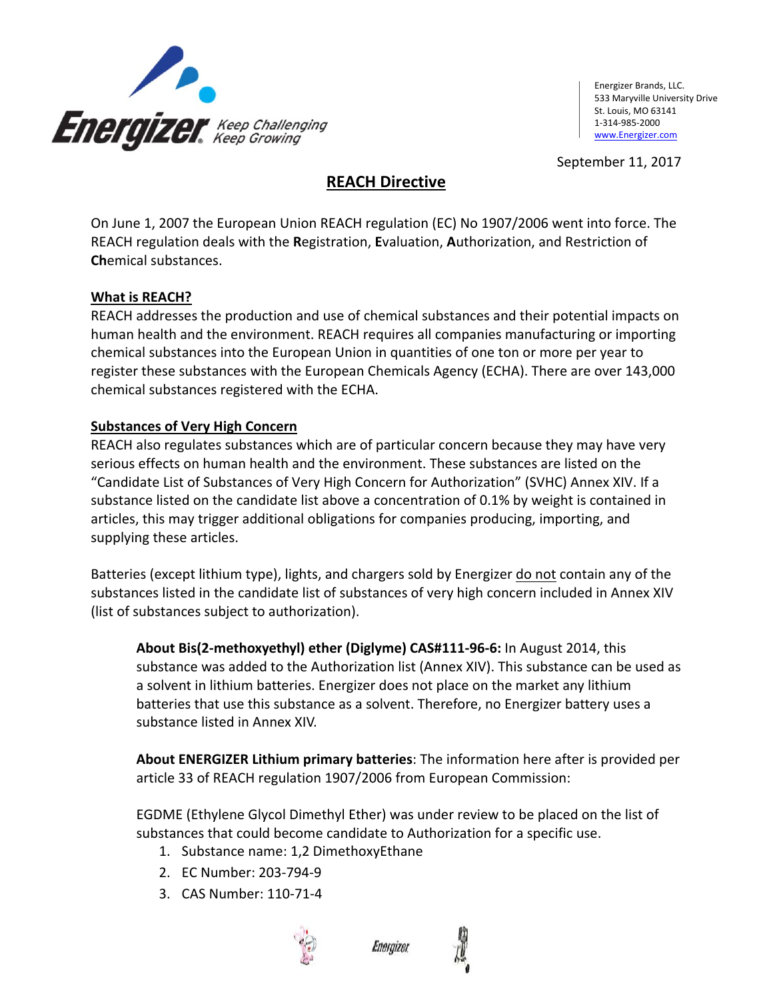

Energizer Brands, LLC. 533 Maryville University Drive St. Louis, MO 63141 1‐314‐985‐2000 www.Energizer.com

September 11, 2017

## **REACH Directive**

On June 1, 2007 the European Union REACH regulation (EC) No 1907/2006 went into force. The REACH regulation deals with the **R**egistration, **E**valuation, **A**uthorization, and Restriction of **Ch**emical substances.

### **What is REACH?**

REACH addresses the production and use of chemical substances and their potential impacts on human health and the environment. REACH requires all companies manufacturing or importing chemical substances into the European Union in quantities of one ton or more per year to register these substances with the European Chemicals Agency (ECHA). There are over 143,000 chemical substances registered with the ECHA.

### **Substances of Very High Concern**

REACH also regulates substances which are of particular concern because they may have very serious effects on human health and the environment. These substances are listed on the "Candidate List of Substances of Very High Concern for Authorization" (SVHC) Annex XIV. If a substance listed on the candidate list above a concentration of 0.1% by weight is contained in articles, this may trigger additional obligations for companies producing, importing, and supplying these articles.

Batteries (except lithium type), lights, and chargers sold by Energizer do not contain any of the substances listed in the candidate list of substances of very high concern included in Annex XIV (list of substances subject to authorization).

**About Bis(2‐methoxyethyl) ether (Diglyme) CAS#111‐96‐6:** In August 2014, this substance was added to the Authorization list (Annex XIV). This substance can be used as a solvent in lithium batteries. Energizer does not place on the market any lithium batteries that use this substance as a solvent. Therefore, no Energizer battery uses a substance listed in Annex XIV.

**About ENERGIZER Lithium primary batteries**: The information here after is provided per article 33 of REACH regulation 1907/2006 from European Commission:

EGDME (Ethylene Glycol Dimethyl Ether) was under review to be placed on the list of substances that could become candidate to Authorization for a specific use.

- 1. Substance name: 1,2 DimethoxyEthane
- 2. EC Number: 203‐794‐9
- 3. CAS Number: 110‐71‐4



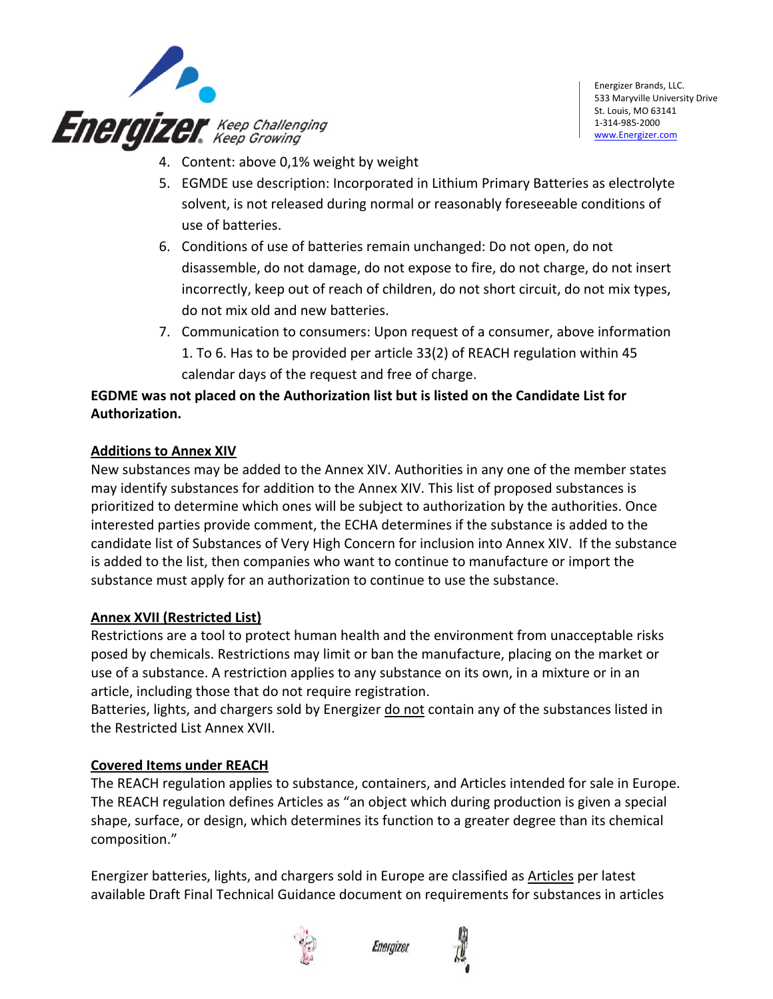

- 4. Content: above 0,1% weight by weight
- 5. EGMDE use description: Incorporated in Lithium Primary Batteries as electrolyte solvent, is not released during normal or reasonably foreseeable conditions of use of batteries.
- 6. Conditions of use of batteries remain unchanged: Do not open, do not disassemble, do not damage, do not expose to fire, do not charge, do not insert incorrectly, keep out of reach of children, do not short circuit, do not mix types, do not mix old and new batteries.
- 7. Communication to consumers: Upon request of a consumer, above information 1. To 6. Has to be provided per article 33(2) of REACH regulation within 45 calendar days of the request and free of charge.

## **EGDME was not placed on the Authorization list but is listed on the Candidate List for Authorization.**

### **Additions to Annex XIV**

New substances may be added to the Annex XIV. Authorities in any one of the member states may identify substances for addition to the Annex XIV. This list of proposed substances is prioritized to determine which ones will be subject to authorization by the authorities. Once interested parties provide comment, the ECHA determines if the substance is added to the candidate list of Substances of Very High Concern for inclusion into Annex XIV. If the substance is added to the list, then companies who want to continue to manufacture or import the substance must apply for an authorization to continue to use the substance.

### **Annex XVII (Restricted List)**

Restrictions are a tool to protect human health and the environment from unacceptable risks posed by chemicals. Restrictions may limit or ban the manufacture, placing on the market or use of a substance. A restriction applies to any substance on its own, in a mixture or in an article, including those that do not require registration.

Batteries, lights, and chargers sold by Energizer do not contain any of the substances listed in the Restricted List Annex XVII.

### **Covered Items under REACH**

The REACH regulation applies to substance, containers, and Articles intended for sale in Europe. The REACH regulation defines Articles as "an object which during production is given a special shape, surface, or design, which determines its function to a greater degree than its chemical composition."

Energizer batteries, lights, and chargers sold in Europe are classified as Articles per latest available Draft Final Technical Guidance document on requirements for substances in articles



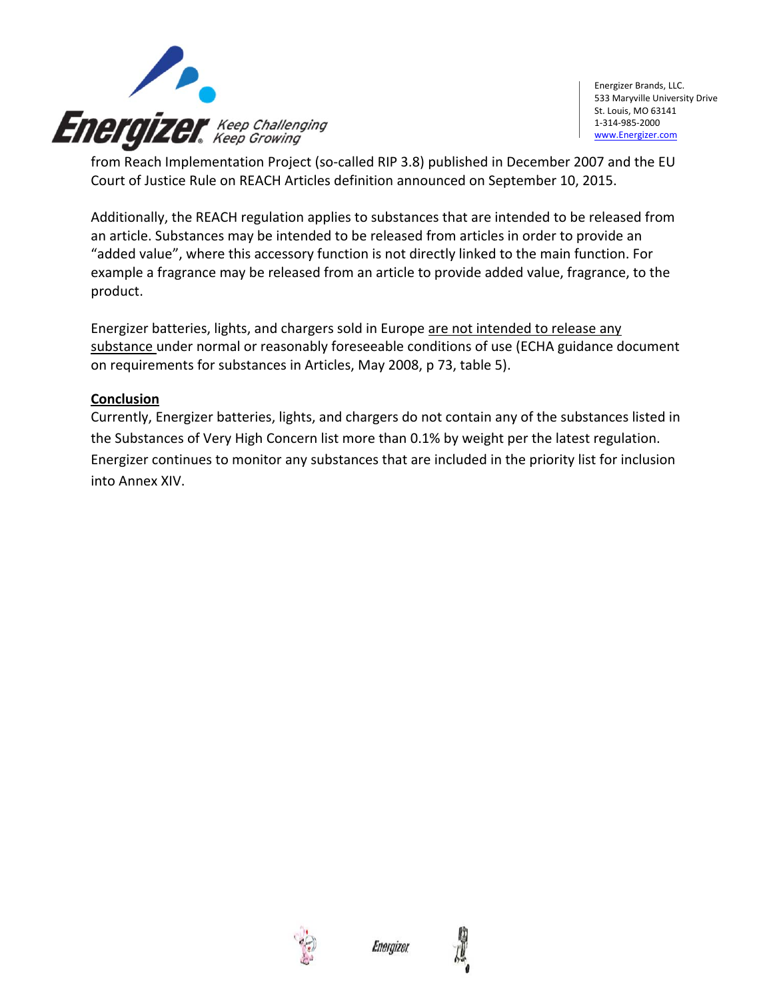

from Reach Implementation Project (so‐called RIP 3.8) published in December 2007 and the EU Court of Justice Rule on REACH Articles definition announced on September 10, 2015.

Additionally, the REACH regulation applies to substances that are intended to be released from an article. Substances may be intended to be released from articles in order to provide an "added value", where this accessory function is not directly linked to the main function. For example a fragrance may be released from an article to provide added value, fragrance, to the product.

Energizer batteries, lights, and chargers sold in Europe are not intended to release any substance under normal or reasonably foreseeable conditions of use (ECHA guidance document on requirements for substances in Articles, May 2008, p 73, table 5).

### **Conclusion**

Currently, Energizer batteries, lights, and chargers do not contain any of the substances listed in the Substances of Very High Concern list more than 0.1% by weight per the latest regulation. Energizer continues to monitor any substances that are included in the priority list for inclusion into Annex XIV.



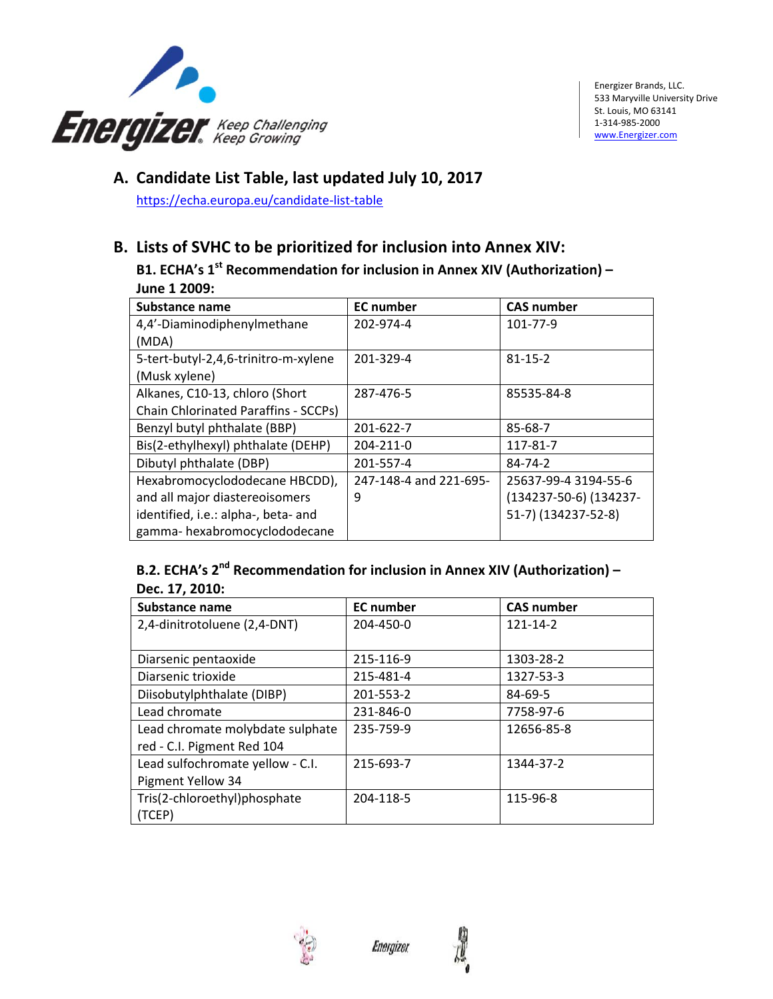

## **A. Candidate List Table, last updated July 10, 2017**

https://echa.europa.eu/candidate‐list‐table

# **B. Lists of SVHC to be prioritized for inclusion into Annex XIV:**

**B1. ECHA's 1st Recommendation for inclusion in Annex XIV (Authorization) – June 1 2009:**

| Substance name                              | <b>EC</b> number       | <b>CAS number</b>      |
|---------------------------------------------|------------------------|------------------------|
| 4,4'-Diaminodiphenylmethane                 | 202-974-4              | 101-77-9               |
| (MDA)                                       |                        |                        |
| 5-tert-butyl-2,4,6-trinitro-m-xylene        | 201-329-4              | $81 - 15 - 2$          |
| (Musk xylene)                               |                        |                        |
| Alkanes, C10-13, chloro (Short              | 287-476-5              | 85535-84-8             |
| <b>Chain Chlorinated Paraffins - SCCPs)</b> |                        |                        |
| Benzyl butyl phthalate (BBP)                | 201-622-7              | 85-68-7                |
| Bis(2-ethylhexyl) phthalate (DEHP)          | 204-211-0              | 117-81-7               |
| Dibutyl phthalate (DBP)                     | 201-557-4              | $84 - 74 - 2$          |
| Hexabromocyclododecane HBCDD),              | 247-148-4 and 221-695- | 25637-99-4 3194-55-6   |
| and all major diastereoisomers              | 9                      | (134237-50-6) (134237- |
| identified, i.e.: alpha-, beta- and         |                        | 51-7) (134237-52-8)    |
| gamma-hexabromocyclododecane                |                        |                        |

### **B.2. ECHA's 2nd Recommendation for inclusion in Annex XIV (Authorization) – Dec. 17, 2010:**

| Substance name                   | <b>EC</b> number | <b>CAS number</b> |
|----------------------------------|------------------|-------------------|
| 2,4-dinitrotoluene (2,4-DNT)     | 204-450-0        | $121 - 14 - 2$    |
|                                  |                  |                   |
| Diarsenic pentaoxide             | 215-116-9        | 1303-28-2         |
| Diarsenic trioxide               | 215-481-4        | 1327-53-3         |
| Diisobutylphthalate (DIBP)       | 201-553-2        | 84-69-5           |
| Lead chromate                    | 231-846-0        | 7758-97-6         |
| Lead chromate molybdate sulphate | 235-759-9        | 12656-85-8        |
| red - C.I. Pigment Red 104       |                  |                   |
| Lead sulfochromate yellow - C.I. | 215-693-7        | 1344-37-2         |
| Pigment Yellow 34                |                  |                   |
| Tris(2-chloroethyl)phosphate     | 204-118-5        | 115-96-8          |
| (TCEP)                           |                  |                   |



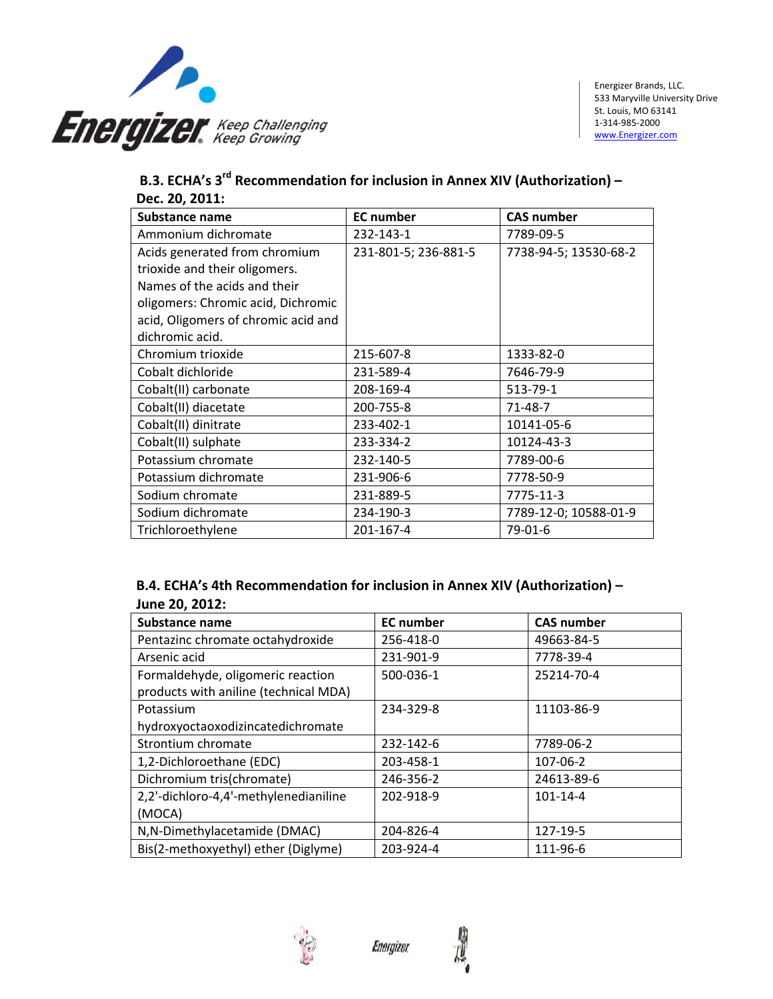

|                | B.3. ECHA's 3 <sup>rd</sup> Recommendation for inclusion in Annex XIV (Authorization) - |
|----------------|-----------------------------------------------------------------------------------------|
| Dec. 20, 2011: |                                                                                         |

| Substance name                      | <b>EC</b> number     | <b>CAS number</b>     |
|-------------------------------------|----------------------|-----------------------|
| Ammonium dichromate                 | 232-143-1            | 7789-09-5             |
| Acids generated from chromium       | 231-801-5; 236-881-5 | 7738-94-5; 13530-68-2 |
| trioxide and their oligomers.       |                      |                       |
| Names of the acids and their        |                      |                       |
| oligomers: Chromic acid, Dichromic  |                      |                       |
| acid, Oligomers of chromic acid and |                      |                       |
| dichromic acid.                     |                      |                       |
| Chromium trioxide                   | 215-607-8            | 1333-82-0             |
| Cobalt dichloride                   | 231-589-4            | 7646-79-9             |
| Cobalt(II) carbonate                | 208-169-4            | 513-79-1              |
| Cobalt(II) diacetate                | 200-755-8            | 71-48-7               |
| Cobalt(II) dinitrate                | 233-402-1            | 10141-05-6            |
| Cobalt(II) sulphate                 | 233-334-2            | 10124-43-3            |
| Potassium chromate                  | 232-140-5            | 7789-00-6             |
| Potassium dichromate                | 231-906-6            | 7778-50-9             |
| Sodium chromate                     | 231-889-5            | 7775-11-3             |
| Sodium dichromate                   | 234-190-3            | 7789-12-0; 10588-01-9 |
| Trichloroethylene                   | 201-167-4            | 79-01-6               |

### **B.4. ECHA's 4th Recommendation for inclusion in Annex XIV (Authorization) – June 20, 2012:**

| Substance name                        | <b>EC</b> number | <b>CAS number</b> |
|---------------------------------------|------------------|-------------------|
| Pentazinc chromate octahydroxide      | 256-418-0        | 49663-84-5        |
| Arsenic acid                          | 231-901-9        | 7778-39-4         |
| Formaldehyde, oligomeric reaction     | 500-036-1        | 25214-70-4        |
| products with aniline (technical MDA) |                  |                   |
| Potassium                             | 234-329-8        | 11103-86-9        |
| hydroxyoctaoxodizincatedichromate     |                  |                   |
| Strontium chromate                    | 232-142-6        | 7789-06-2         |
| 1,2-Dichloroethane (EDC)              | 203-458-1        | 107-06-2          |
| Dichromium tris(chromate)             | 246-356-2        | 24613-89-6        |
| 2,2'-dichloro-4,4'-methylenedianiline | 202-918-9        | $101 - 14 - 4$    |
| (MOCA)                                |                  |                   |
| N, N-Dimethylacetamide (DMAC)         | 204-826-4        | 127-19-5          |
| Bis(2-methoxyethyl) ether (Diglyme)   | 203-924-4        | 111-96-6          |



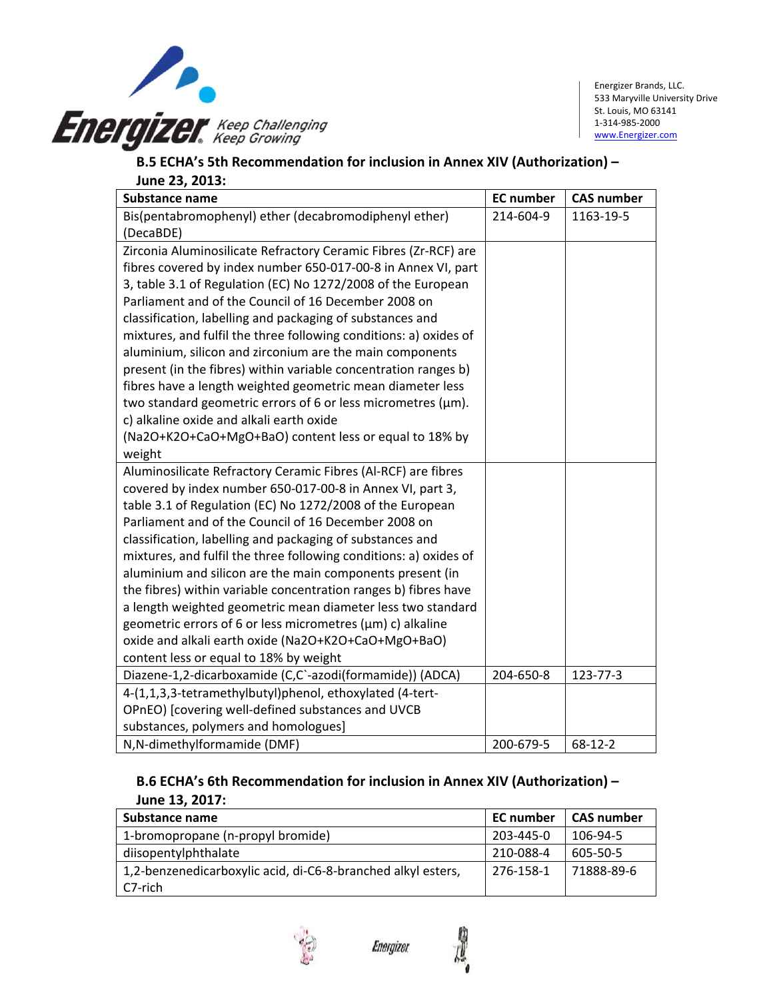

Energizer Brands, LLC. 533 Maryville University Drive St. Louis, MO 63141 1‐314‐985‐2000 www.Energizer.com

### **B.5 ECHA's 5th Recommendation for inclusion in Annex XIV (Authorization) – June 23, 2013:**

| <b>Substance name</b>                                              | <b>EC</b> number | <b>CAS number</b> |
|--------------------------------------------------------------------|------------------|-------------------|
| Bis(pentabromophenyl) ether (decabromodiphenyl ether)              | 214-604-9        | 1163-19-5         |
| (DecaBDE)                                                          |                  |                   |
| Zirconia Aluminosilicate Refractory Ceramic Fibres (Zr-RCF) are    |                  |                   |
| fibres covered by index number 650-017-00-8 in Annex VI, part      |                  |                   |
| 3, table 3.1 of Regulation (EC) No 1272/2008 of the European       |                  |                   |
| Parliament and of the Council of 16 December 2008 on               |                  |                   |
| classification, labelling and packaging of substances and          |                  |                   |
| mixtures, and fulfil the three following conditions: a) oxides of  |                  |                   |
| aluminium, silicon and zirconium are the main components           |                  |                   |
| present (in the fibres) within variable concentration ranges b)    |                  |                   |
| fibres have a length weighted geometric mean diameter less         |                  |                   |
| two standard geometric errors of 6 or less micrometres ( $\mu$ m). |                  |                   |
| c) alkaline oxide and alkali earth oxide                           |                  |                   |
| (Na2O+K2O+CaO+MgO+BaO) content less or equal to 18% by             |                  |                   |
| weight                                                             |                  |                   |
| Aluminosilicate Refractory Ceramic Fibres (Al-RCF) are fibres      |                  |                   |
| covered by index number 650-017-00-8 in Annex VI, part 3,          |                  |                   |
| table 3.1 of Regulation (EC) No 1272/2008 of the European          |                  |                   |
| Parliament and of the Council of 16 December 2008 on               |                  |                   |
| classification, labelling and packaging of substances and          |                  |                   |
| mixtures, and fulfil the three following conditions: a) oxides of  |                  |                   |
| aluminium and silicon are the main components present (in          |                  |                   |
| the fibres) within variable concentration ranges b) fibres have    |                  |                   |
| a length weighted geometric mean diameter less two standard        |                  |                   |
| geometric errors of 6 or less micrometres ( $\mu$ m) c) alkaline   |                  |                   |
| oxide and alkali earth oxide (Na2O+K2O+CaO+MgO+BaO)                |                  |                   |
| content less or equal to 18% by weight                             |                  |                   |
| Diazene-1,2-dicarboxamide (C,C`-azodi(formamide)) (ADCA)           | 204-650-8        | 123-77-3          |
| 4-(1,1,3,3-tetramethylbutyl)phenol, ethoxylated (4-tert-           |                  |                   |
| OPnEO) [covering well-defined substances and UVCB                  |                  |                   |
| substances, polymers and homologues]                               |                  |                   |
| N, N-dimethylformamide (DMF)                                       | 200-679-5        | $68 - 12 - 2$     |

### **B.6 ECHA's 6th Recommendation for inclusion in Annex XIV (Authorization) – June 13, 2017:**

| Substance name                                               | <b>EC</b> number | <b>CAS number</b> |
|--------------------------------------------------------------|------------------|-------------------|
| 1-bromopropane (n-propyl bromide)                            | 203-445-0        | 106-94-5          |
| diisopentylphthalate                                         | 210-088-4        | 605-50-5          |
| 1,2-benzenedicarboxylic acid, di-C6-8-branched alkyl esters, | 276-158-1        | 71888-89-6        |
| l C7-rich                                                    |                  |                   |